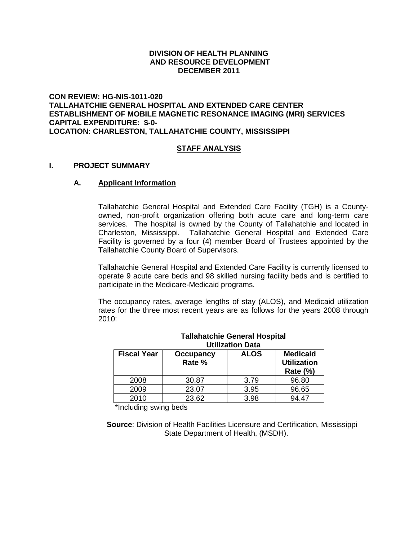### **DIVISION OF HEALTH PLANNING AND RESOURCE DEVELOPMENT DECEMBER 2011**

### **CON REVIEW: HG-NIS-1011-020 TALLAHATCHIE GENERAL HOSPITAL AND EXTENDED CARE CENTER ESTABLISHMENT OF MOBILE MAGNETIC RESONANCE IMAGING (MRI) SERVICES CAPITAL EXPENDITURE: \$-0- LOCATION: CHARLESTON, TALLAHATCHIE COUNTY, MISSISSIPPI**

### **STAFF ANALYSIS**

#### **I. PROJECT SUMMARY**

### **A. Applicant Information**

Tallahatchie General Hospital and Extended Care Facility (TGH) is a Countyowned, non-profit organization offering both acute care and long-term care services. The hospital is owned by the County of Tallahatchie and located in Charleston, Mississippi. Tallahatchie General Hospital and Extended Care Facility is governed by a four (4) member Board of Trustees appointed by the Tallahatchie County Board of Supervisors.

Tallahatchie General Hospital and Extended Care Facility is currently licensed to operate 9 acute care beds and 98 skilled nursing facility beds and is certified to participate in the Medicare-Medicaid programs.

The occupancy rates, average lengths of stay (ALOS), and Medicaid utilization rates for the three most recent years are as follows for the years 2008 through 2010:

| <b>Fiscal Year</b> | Occupancy<br>Rate % | <b>ALOS</b> | <b>Medicaid</b><br><b>Utilization</b><br><b>Rate (%)</b> |
|--------------------|---------------------|-------------|----------------------------------------------------------|
| 2008               | 30.87               | 3.79        | 96.80                                                    |
| 2009               | 23.07               | 3.95        | 96.65                                                    |
| 2010               | 23.62               | 3.98        | 94.47                                                    |

#### **Tallahatchie General Hospital Utilization Data**

\*Including swing beds

 **Source**: Division of Health Facilities Licensure and Certification, Mississippi State Department of Health, (MSDH).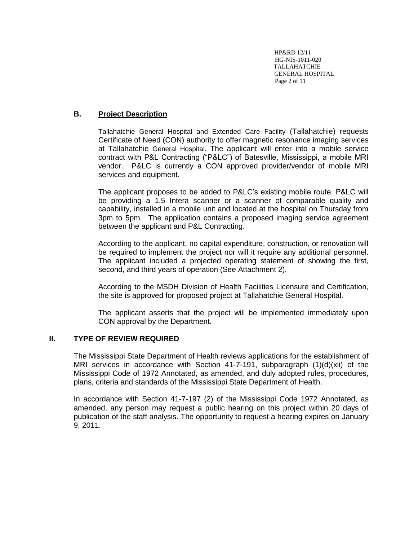HP&RD 12/11 HG-NIS-1011-020 TALLAHATCHIE GENERAL HOSPITAL Page 2 of 11

# **B. Project Description**

Tallahatchie General Hospital and Extended Care Facility (Tallahatchie) requests Certificate of Need (CON) authority to offer magnetic resonance imaging services at Tallahatchie General Hospital. The applicant will enter into a mobile service contract with P&L Contracting ("P&LC") of Batesville, Mississippi, a mobile MRI vendor. P&LC is currently a CON approved provider/vendor of mobile MRI services and equipment.

The applicant proposes to be added to P&LC's existing mobile route. P&LC will be providing a 1.5 Intera scanner or a scanner of comparable quality and capability, installed in a mobile unit and located at the hospital on Thursday from 3pm to 5pm. The application contains a proposed imaging service agreement between the applicant and P&L Contracting.

According to the applicant, no capital expenditure, construction, or renovation will be required to implement the project nor will it require any additional personnel. The applicant included a projected operating statement of showing the first, second, and third years of operation (See Attachment 2).

According to the MSDH Division of Health Facilities Licensure and Certification, the site is approved for proposed project at Tallahatchie General Hospital.

The applicant asserts that the project will be implemented immediately upon CON approval by the Department.

### **II. TYPE OF REVIEW REQUIRED**

The Mississippi State Department of Health reviews applications for the establishment of MRI services in accordance with Section  $41-7-191$ , subparagraph  $(1)(d)(xii)$  of the Mississippi Code of 1972 Annotated, as amended, and duly adopted rules, procedures, plans, criteria and standards of the Mississippi State Department of Health.

In accordance with Section 41-7-197 (2) of the Mississippi Code 1972 Annotated, as amended, any person may request a public hearing on this project within 20 days of publication of the staff analysis. The opportunity to request a hearing expires on January 9, 2011.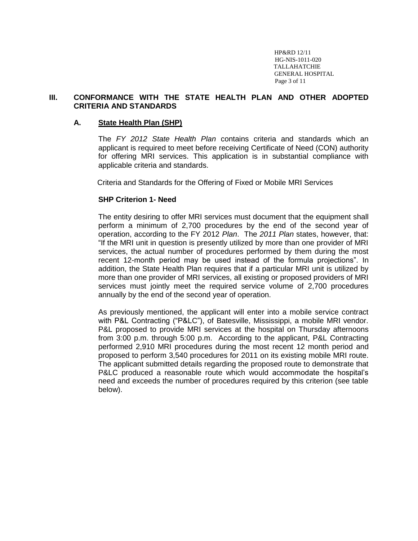HP&RD 12/11 HG-NIS-1011-020 TALLAHATCHIE GENERAL HOSPITAL Page 3 of 11

### **III. CONFORMANCE WITH THE STATE HEALTH PLAN AND OTHER ADOPTED CRITERIA AND STANDARDS**

### **A. State Health Plan (SHP)**

The *FY 2012 State Health Plan* contains criteria and standards which an applicant is required to meet before receiving Certificate of Need (CON) authority for offering MRI services. This application is in substantial compliance with applicable criteria and standards.

Criteria and Standards for the Offering of Fixed or Mobile MRI Services

### **SHP Criterion 1- Need**

The entity desiring to offer MRI services must document that the equipment shall perform a minimum of 2,700 procedures by the end of the second year of operation, according to the FY 2012 *Plan*. The *2011 Plan* states, however, that: "If the MRI unit in question is presently utilized by more than one provider of MRI services, the actual number of procedures performed by them during the most recent 12-month period may be used instead of the formula projections". In addition, the State Health Plan requires that if a particular MRI unit is utilized by more than one provider of MRI services, all existing or proposed providers of MRI services must jointly meet the required service volume of 2,700 procedures annually by the end of the second year of operation.

As previously mentioned, the applicant will enter into a mobile service contract with P&L Contracting ("P&LC"), of Batesville, Mississippi, a mobile MRI vendor. P&L proposed to provide MRI services at the hospital on Thursday afternoons from 3:00 p.m. through 5:00 p.m. According to the applicant, P&L Contracting performed 2,910 MRI procedures during the most recent 12 month period and proposed to perform 3,540 procedures for 2011 on its existing mobile MRI route. The applicant submitted details regarding the proposed route to demonstrate that P&LC produced a reasonable route which would accommodate the hospital's need and exceeds the number of procedures required by this criterion (see table below).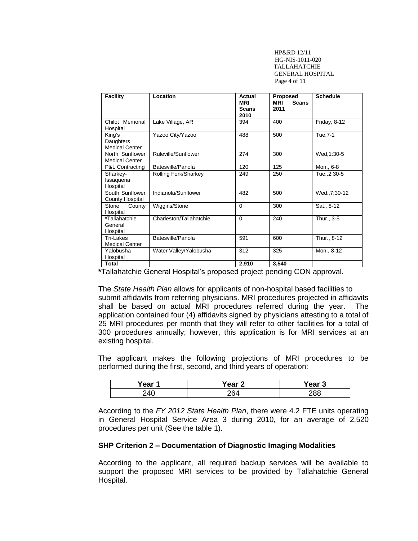HP&RD 12/11 HG-NIS-1011-020 TALLAHATCHIE GENERAL HOSPITAL Page 4 of 11

| <b>Facility</b>                              | Location                | Actual<br><b>MRI</b><br><b>Scans</b><br>2010 | <b>Proposed</b><br><b>MRI</b><br><b>Scans</b><br>2011 | <b>Schedule</b> |
|----------------------------------------------|-------------------------|----------------------------------------------|-------------------------------------------------------|-----------------|
| Chilot Memorial<br>Hospital                  | Lake Village, AR        | 394                                          | 400                                                   | Friday, $8-12$  |
| King's<br>Daughters<br><b>Medical Center</b> | Yazoo City/Yazoo        | 488                                          | 500                                                   | Tue, 7-1        |
| North Sunflower<br><b>Medical Center</b>     | Ruleville/Sunflower     | 274                                          | 300                                                   | Wed, 1:30-5     |
| <b>P&amp;L Contracting</b>                   | Batesville/Panola       | 120                                          | 125                                                   | Mon., 6-8       |
| Sharkey-<br>Issaquena<br>Hospital            | Rolling Fork/Sharkey    | 249                                          | 250                                                   | Tue., 2:30-5    |
| South Sunflower<br>County Hospital           | Indianola/Sunflower     | 482                                          | 500                                                   | Wed., 7:30-12   |
| Stone<br>County<br>Hospital                  | Wiggins/Stone           | $\Omega$                                     | 300                                                   | Sat., 8-12      |
| *Tallahatchie<br>General<br>Hospital         | Charleston/Tallahatchie | $\Omega$                                     | 240                                                   | Thur., 3-5      |
| Tri-Lakes<br><b>Medical Center</b>           | Batesville/Panola       | 591                                          | 600                                                   | Thur., 8-12     |
| Yalobusha<br>Hospital                        | Water Valley/Yalobusha  | 312                                          | 325                                                   | Mon., 8-12      |
| <b>Total</b>                                 |                         | 2,910                                        | 3,540                                                 |                 |

**\***Tallahatchie General Hospital's proposed project pending CON approval.

The *State Health Plan* allows for applicants of non-hospital based facilities to submit affidavits from referring physicians. MRI procedures projected in affidavits shall be based on actual MRI procedures referred during the year. The application contained four (4) affidavits signed by physicians attesting to a total of 25 MRI procedures per month that they will refer to other facilities for a total of 300 procedures annually; however, this application is for MRI services at an existing hospital.

The applicant makes the following projections of MRI procedures to be performed during the first, second, and third years of operation:

| Year 1 | Year <sub>2</sub> | Year<br>◡ |
|--------|-------------------|-----------|
|        | ንፍ⊿               | റാറ       |

According to the *FY 2012 State Health Plan*, there were 4.2 FTE units operating in General Hospital Service Area 3 during 2010, for an average of 2,520 procedures per unit (See the table 1).

#### **SHP Criterion 2 – Documentation of Diagnostic Imaging Modalities**

According to the applicant, all required backup services will be available to support the proposed MRI services to be provided by Tallahatchie General Hospital.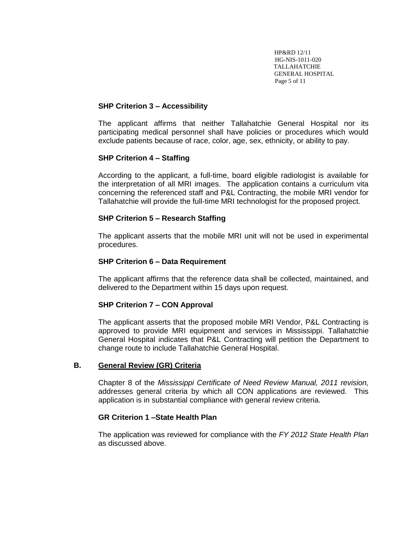HP&RD 12/11 HG-NIS-1011-020 TALLAHATCHIE GENERAL HOSPITAL Page 5 of 11

### **SHP Criterion 3 – Accessibility**

The applicant affirms that neither Tallahatchie General Hospital nor its participating medical personnel shall have policies or procedures which would exclude patients because of race, color, age, sex, ethnicity, or ability to pay.

### **SHP Criterion 4 – Staffing**

According to the applicant, a full-time, board eligible radiologist is available for the interpretation of all MRI images. The application contains a curriculum vita concerning the referenced staff and P&L Contracting, the mobile MRI vendor for Tallahatchie will provide the full-time MRI technologist for the proposed project.

### **SHP Criterion 5 – Research Staffing**

The applicant asserts that the mobile MRI unit will not be used in experimental procedures.

### **SHP Criterion 6 – Data Requirement**

The applicant affirms that the reference data shall be collected, maintained, and delivered to the Department within 15 days upon request.

### **SHP Criterion 7 – CON Approval**

The applicant asserts that the proposed mobile MRI Vendor, P&L Contracting is approved to provide MRI equipment and services in Mississippi. Tallahatchie General Hospital indicates that P&L Contracting will petition the Department to change route to include Tallahatchie General Hospital.

### **B. General Review (GR) Criteria**

Chapter 8 of the *Mississippi Certificate of Need Review Manual, 2011 revision,*  addresses general criteria by which all CON applications are reviewed. This application is in substantial compliance with general review criteria.

### **GR Criterion 1 –State Health Plan**

The application was reviewed for compliance with the *FY 2012 State Health Plan* as discussed above.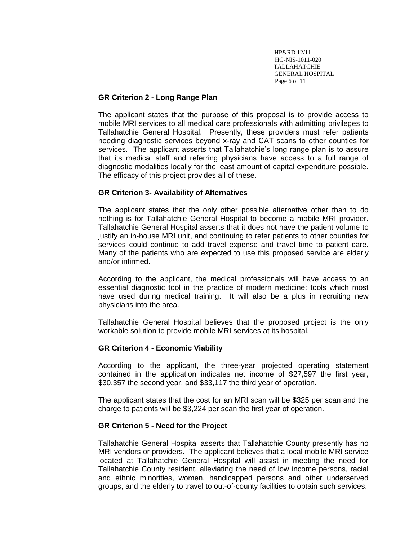HP&RD 12/11 HG-NIS-1011-020 TALLAHATCHIE GENERAL HOSPITAL Page 6 of 11

### **GR Criterion 2 - Long Range Plan**

The applicant states that the purpose of this proposal is to provide access to mobile MRI services to all medical care professionals with admitting privileges to Tallahatchie General Hospital. Presently, these providers must refer patients needing diagnostic services beyond x-ray and CAT scans to other counties for services. The applicant asserts that Tallahatchie's long range plan is to assure that its medical staff and referring physicians have access to a full range of diagnostic modalities locally for the least amount of capital expenditure possible. The efficacy of this project provides all of these.

### **GR Criterion 3- Availability of Alternatives**

The applicant states that the only other possible alternative other than to do nothing is for Tallahatchie General Hospital to become a mobile MRI provider. Tallahatchie General Hospital asserts that it does not have the patient volume to justify an in-house MRI unit, and continuing to refer patients to other counties for services could continue to add travel expense and travel time to patient care. Many of the patients who are expected to use this proposed service are elderly and/or infirmed.

According to the applicant, the medical professionals will have access to an essential diagnostic tool in the practice of modern medicine: tools which most have used during medical training. It will also be a plus in recruiting new physicians into the area.

Tallahatchie General Hospital believes that the proposed project is the only workable solution to provide mobile MRI services at its hospital.

# **GR Criterion 4 - Economic Viability**

According to the applicant, the three-year projected operating statement contained in the application indicates net income of \$27,597 the first year, \$30,357 the second year, and \$33,117 the third year of operation.

The applicant states that the cost for an MRI scan will be \$325 per scan and the charge to patients will be \$3,224 per scan the first year of operation.

### **GR Criterion 5 - Need for the Project**

Tallahatchie General Hospital asserts that Tallahatchie County presently has no MRI vendors or providers. The applicant believes that a local mobile MRI service located at Tallahatchie General Hospital will assist in meeting the need for Tallahatchie County resident, alleviating the need of low income persons, racial and ethnic minorities, women, handicapped persons and other underserved groups, and the elderly to travel to out-of-county facilities to obtain such services.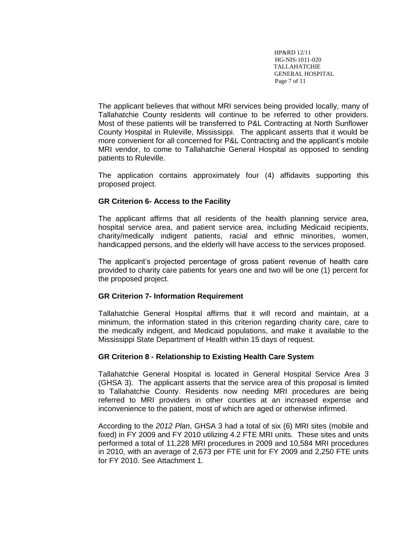HP&RD 12/11 HG-NIS-1011-020 TALLAHATCHIE GENERAL HOSPITAL Page 7 of 11

The applicant believes that without MRI services being provided locally, many of Tallahatchie County residents will continue to be referred to other providers. Most of these patients will be transferred to P&L Contracting at North Sunflower County Hospital in Ruleville, Mississippi. The applicant asserts that it would be more convenient for all concerned for P&L Contracting and the applicant's mobile MRI vendor, to come to Tallahatchie General Hospital as opposed to sending patients to Ruleville.

The application contains approximately four (4) affidavits supporting this proposed project.

### **GR Criterion 6- Access to the Facility**

The applicant affirms that all residents of the health planning service area, hospital service area, and patient service area, including Medicaid recipients, charity/medically indigent patients, racial and ethnic minorities, women, handicapped persons, and the elderly will have access to the services proposed.

The applicant's projected percentage of gross patient revenue of health care provided to charity care patients for years one and two will be one (1) percent for the proposed project.

### **GR Criterion 7- Information Requirement**

Tallahatchie General Hospital affirms that it will record and maintain, at a minimum, the information stated in this criterion regarding charity care, care to the medically indigent, and Medicaid populations, and make it available to the Mississippi State Department of Health within 15 days of request.

### **GR Criterion 8 - Relationship to Existing Health Care System**

Tallahatchie General Hospital is located in General Hospital Service Area 3 (GHSA 3). The applicant asserts that the service area of this proposal is limited to Tallahatchie County. Residents now needing MRI procedures are being referred to MRI providers in other counties at an increased expense and inconvenience to the patient, most of which are aged or otherwise infirmed.

According to the *2012 Plan*, GHSA 3 had a total of six (6) MRI sites (mobile and fixed) in FY 2009 and FY 2010 utilizing 4.2 FTE MRI units. These sites and units performed a total of 11,228 MRI procedures in 2009 and 10,584 MRI procedures in 2010, with an average of 2,673 per FTE unit for FY 2009 and 2,250 FTE units for FY 2010. See Attachment 1.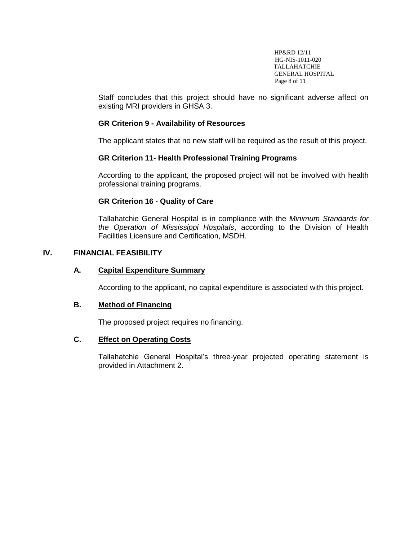HP&RD 12/11 HG-NIS-1011-020 TALLAHATCHIE GENERAL HOSPITAL Page 8 of 11

Staff concludes that this project should have no significant adverse affect on existing MRI providers in GHSA 3.

# **GR Criterion 9 - Availability of Resources**

The applicant states that no new staff will be required as the result of this project.

# **GR Criterion 11- Health Professional Training Programs**

According to the applicant, the proposed project will not be involved with health professional training programs.

### **GR Criterion 16 - Quality of Care**

Tallahatchie General Hospital is in compliance with the *Minimum Standards for the Operation of Mississippi Hospitals*, according to the Division of Health Facilities Licensure and Certification, MSDH.

# **IV. FINANCIAL FEASIBILITY**

#### **A. Capital Expenditure Summary**

According to the applicant, no capital expenditure is associated with this project.

### **B. Method of Financing**

The proposed project requires no financing.

### **C. Effect on Operating Costs**

Tallahatchie General Hospital's three-year projected operating statement is provided in Attachment 2.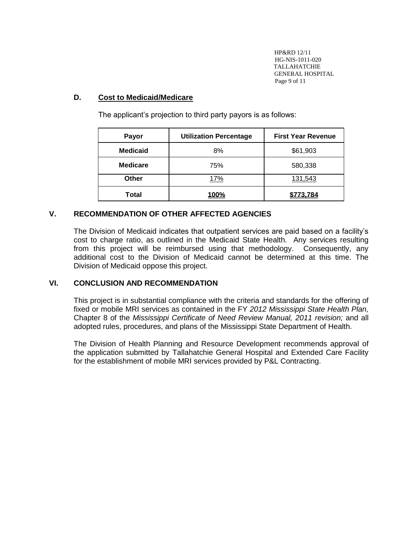HP&RD 12/11 HG-NIS-1011-020 TALLAHATCHIE GENERAL HOSPITAL Page 9 of 11

# **D. Cost to Medicaid/Medicare**

| Payor           | <b>Utilization Percentage</b> | <b>First Year Revenue</b> |
|-----------------|-------------------------------|---------------------------|
| <b>Medicaid</b> | 8%                            | \$61,903                  |
| <b>Medicare</b> | 75%                           | 580,338                   |
| <b>Other</b>    | 17%                           | 131,543                   |
| Total           | <b>100%</b>                   | 3.784                     |

The applicant's projection to third party payors is as follows:

### **V. RECOMMENDATION OF OTHER AFFECTED AGENCIES**

The Division of Medicaid indicates that outpatient services are paid based on a facility's cost to charge ratio, as outlined in the Medicaid State Health. Any services resulting from this project will be reimbursed using that methodology. Consequently, any additional cost to the Division of Medicaid cannot be determined at this time. The Division of Medicaid oppose this project.

### **VI. CONCLUSION AND RECOMMENDATION**

This project is in substantial compliance with the criteria and standards for the offering of fixed or mobile MRI services as contained in the FY *2012 Mississippi State Health Plan,*  Chapter 8 of the *Mississippi Certificate of Need Review Manual, 2011 revision;* and all adopted rules, procedures, and plans of the Mississippi State Department of Health.

The Division of Health Planning and Resource Development recommends approval of the application submitted by Tallahatchie General Hospital and Extended Care Facility for the establishment of mobile MRI services provided by P&L Contracting.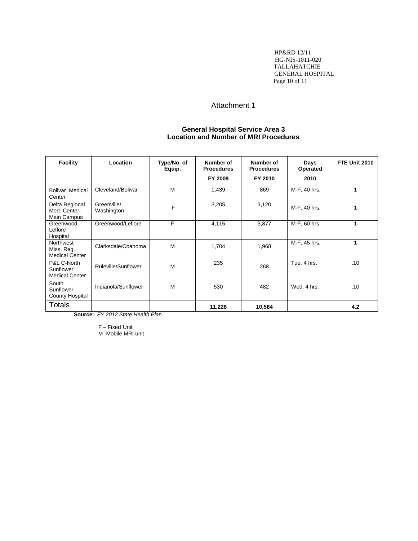HP&RD 12/11 HG-NIS-1011-020 TALLAHATCHIE GENERAL HOSPITAL Page 10 of 11

### Attachment 1

#### **General Hospital Service Area 3 Location and Number of MRI Procedures**

| <b>Facility</b>                                   | Location                  | Type/No. of<br>Equip. | Number of<br><b>Procedures</b><br>FY 2009 | Number of<br><b>Procedures</b><br>FY 2010 | Days<br>Operated<br>2010 | FTE Unit 2010 |
|---------------------------------------------------|---------------------------|-----------------------|-------------------------------------------|-------------------------------------------|--------------------------|---------------|
| <b>Bolivar Medical</b><br>Center                  | Cleveland/Bolivar         | M                     | 1,439                                     | 869                                       | M-F, 40 hrs.             | 1             |
| Delta Regional<br>Med. Center-<br>Main Campus     | Greenville/<br>Washington | F                     | 3,205                                     | 3,120                                     | M-F, 40 hrs.             | 1             |
| Greenwood<br>Leflore<br>Hospital                  | Greenwood/Leflore         | F                     | 4,115                                     | 3,877                                     | M-F, 60 hrs.             | 1             |
| Northwest<br>Miss. Reg.<br><b>Medical Center</b>  | Clarksdale/Coahoma        | M                     | 1,704                                     | 1,968                                     | M-F, 45 hrs.             | 1             |
| P&L C-North<br>Sunflower<br><b>Medical Center</b> | Ruleville/Sunflower       | M                     | 235                                       | 268                                       | Tue, 4 hrs.              | .10           |
| South<br>Sunflower<br>County Hospital             | Indianola/Sunflower       | M                     | 530                                       | 482                                       | Wed, 4 hrs.              | .10           |
| <b>Totals</b>                                     |                           |                       | 11,228                                    | 10,584                                    |                          | 4.2           |

**Source:** *FY 2012 State Health Plan*

F – Fixed Unit M -Mobile MRI unit